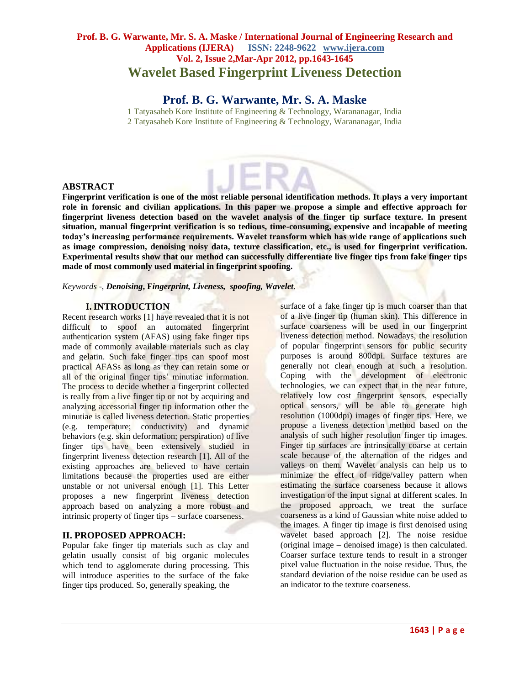# **Prof. B. G. Warwante, Mr. S. A. Maske / International Journal of Engineering Research and Applications (IJERA) ISSN: 2248-9622 www.ijera.com Vol. 2, Issue 2,Mar-Apr 2012, pp.1643-1645 Wavelet Based Fingerprint Liveness Detection**

# **Prof. B. G. Warwante, Mr. S. A. Maske**

1 Tatyasaheb Kore Institute of Engineering & Technology, Warananagar, India 2 Tatyasaheb Kore Institute of Engineering & Technology, Warananagar, India

### **ABSTRACT**

**Fingerprint verification is one of the most reliable personal identification methods. It plays a very important role in forensic and civilian applications. In this paper we propose a simple and effective approach for fingerprint liveness detection based on the wavelet analysis of the finger tip surface texture. In present situation, manual fingerprint verification is so tedious, time-consuming, expensive and incapable of meeting today's increasing performance requirements. Wavelet transform which has wide range of applications such as image compression, denoising noisy data, texture classification, etc., is used for fingerprint verification. Experimental results show that our method can successfully differentiate live finger tips from fake finger tips made of most commonly used material in fingerprint spoofing.**

*Keywords* -*, Denoising***, F***ingerprint, Liveness, spoofing, Wavelet.*

#### **I.INTRODUCTION**

Recent research works [1] have revealed that it is not difficult to spoof an automated fingerprint authentication system (AFAS) using fake finger tips made of commonly available materials such as clay and gelatin. Such fake finger tips can spoof most practical AFASs as long as they can retain some or all of the original finger tips' minutiae information. The process to decide whether a fingerprint collected is really from a live finger tip or not by acquiring and analyzing accessorial finger tip information other the minutiae is called liveness detection. Static properties (e.g. temperature; conductivity) and dynamic behaviors (e.g. skin deformation; perspiration) of live finger tips have been extensively studied in fingerprint liveness detection research [1]. All of the existing approaches are believed to have certain limitations because the properties used are either unstable or not universal enough [1]. This Letter proposes a new fingerprint liveness detection approach based on analyzing a more robust and intrinsic property of finger tips – surface coarseness.

## **II. PROPOSED APPROACH:**

Popular fake finger tip materials such as clay and gelatin usually consist of big organic molecules which tend to agglomerate during processing. This will introduce asperities to the surface of the fake finger tips produced. So, generally speaking, the

surface of a fake finger tip is much coarser than that of a live finger tip (human skin). This difference in surface coarseness will be used in our fingerprint liveness detection method. Nowadays, the resolution of popular fingerprint sensors for public security purposes is around 800dpi. Surface textures are generally not clear enough at such a resolution. Coping with the development of electronic technologies, we can expect that in the near future, relatively low cost fingerprint sensors, especially optical sensors, will be able to generate high resolution (1000dpi) images of finger tips. Here, we propose a liveness detection method based on the analysis of such higher resolution finger tip images. Finger tip surfaces are intrinsically coarse at certain scale because of the alternation of the ridges and valleys on them. Wavelet analysis can help us to minimize the effect of ridge/valley pattern when estimating the surface coarseness because it allows investigation of the input signal at different scales. In the proposed approach, we treat the surface coarseness as a kind of Gaussian white noise added to the images. A finger tip image is first denoised using wavelet based approach [2]. The noise residue (original image – denoised image) is then calculated. Coarser surface texture tends to result in a stronger pixel value fluctuation in the noise residue. Thus, the standard deviation of the noise residue can be used as an indicator to the texture coarseness.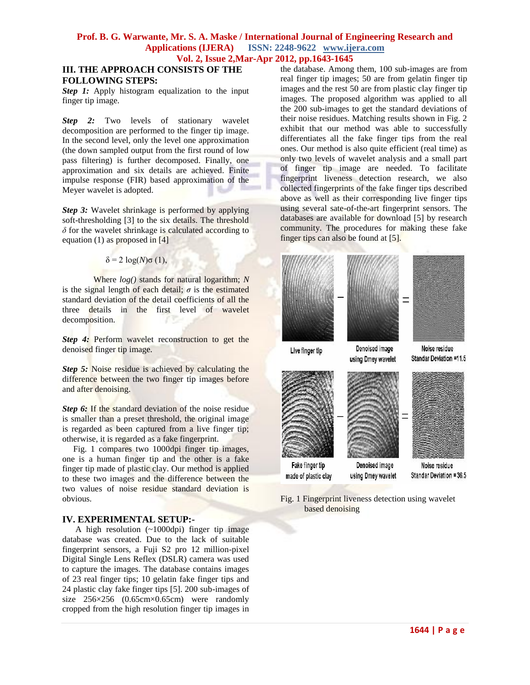#### **Prof. B. G. Warwante, Mr. S. A. Maske / International Journal of Engineering Research and Applications (IJERA) ISSN: 2248-9622 www.ijera.com Vol. 2, Issue 2,Mar-Apr 2012, pp.1643-1645**

### **III. THE APPROACH CONSISTS OF THE FOLLOWING STEPS:**

*Step 1:* Apply histogram equalization to the input finger tip image.

**Step 2:** Two levels of stationary wavelet decomposition are performed to the finger tip image. In the second level, only the level one approximation (the down sampled output from the first round of low pass filtering) is further decomposed. Finally, one approximation and six details are achieved. Finite impulse response (FIR) based approximation of the Meyer wavelet is adopted.

*Step 3:* Wavelet shrinkage is performed by applying soft-thresholding [3] to the six details. The threshold *δ* for the wavelet shrinkage is calculated according to equation (1) as proposed in  $[4]$ 

### δ = 2 log(*N*)σ (1),

Where *log()* stands for natural logarithm; *N*  is the signal length of each detail;  $\sigma$  is the estimated standard deviation of the detail coefficients of all the three details in the first level of wavelet decomposition.

*Step 4:* Perform wavelet reconstruction to get the denoised finger tip image.

*Step 5:* Noise residue is achieved by calculating the difference between the two finger tip images before and after denoising.

*Step 6:* If the standard deviation of the noise residue is smaller than a preset threshold, the original image is regarded as been captured from a live finger tip; otherwise, it is regarded as a fake fingerprint.

 Fig. 1 compares two 1000dpi finger tip images, one is a human finger tip and the other is a fake finger tip made of plastic clay. Our method is applied to these two images and the difference between the two values of noise residue standard deviation is obvious.

### **IV. EXPERIMENTAL SETUP:-**

A high resolution  $(\sim 1000 \text{dpi})$  finger tip image database was created. Due to the lack of suitable fingerprint sensors, a Fuji S2 pro 12 million-pixel Digital Single Lens Reflex (DSLR) camera was used to capture the images. The database contains images of 23 real finger tips; 10 gelatin fake finger tips and 24 plastic clay fake finger tips [5]. 200 sub-images of size 256×256 (0.65cm×0.65cm) were randomly cropped from the high resolution finger tip images in the database. Among them, 100 sub-images are from real finger tip images; 50 are from gelatin finger tip images and the rest 50 are from plastic clay finger tip images. The proposed algorithm was applied to all the 200 sub-images to get the standard deviations of their noise residues. Matching results shown in Fig. 2 exhibit that our method was able to successfully differentiates all the fake finger tips from the real ones. Our method is also quite efficient (real time) as only two levels of wavelet analysis and a small part of finger tip image are needed. To facilitate fingerprint liveness detection research, we also collected fingerprints of the fake finger tips described above as well as their corresponding live finger tips using several sate-of-the-art fingerprint sensors. The databases are available for download [5] by research community. The procedures for making these fake finger tips can also be found at [5].



Fig. 1 Fingerprint liveness detection using wavelet based denoising